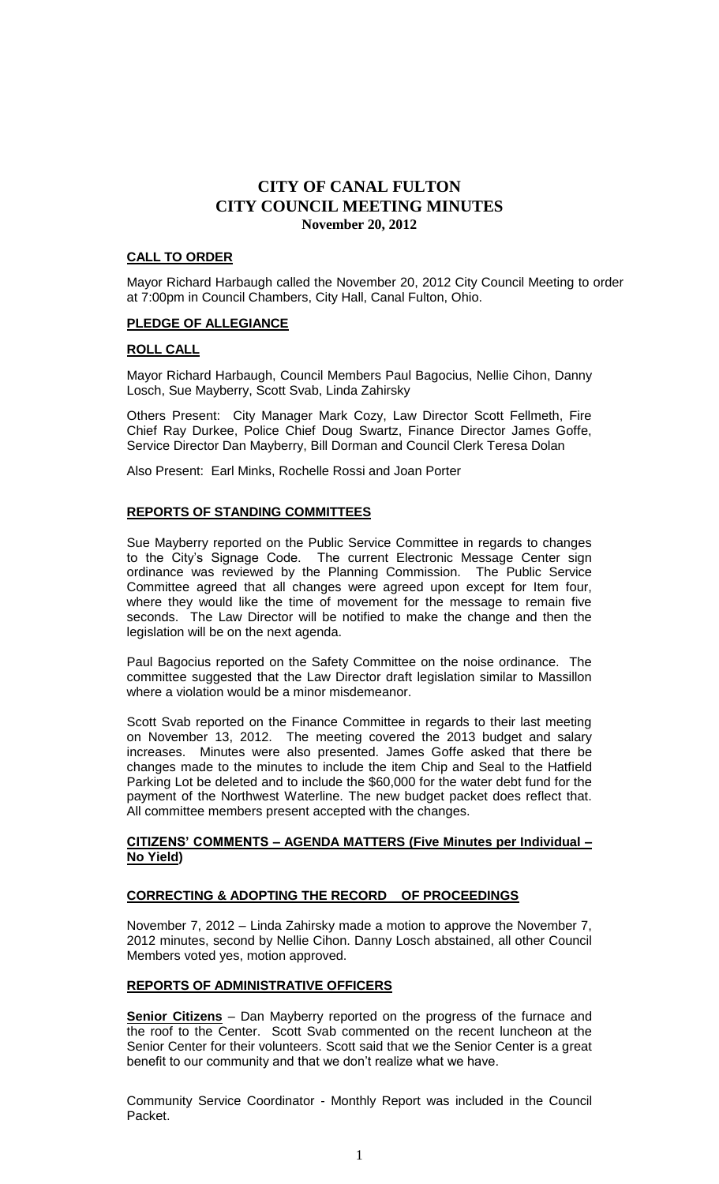## **CALL TO ORDER**

Mayor Richard Harbaugh called the November 20, 2012 City Council Meeting to order at 7:00pm in Council Chambers, City Hall, Canal Fulton, Ohio.

## **PLEDGE OF ALLEGIANCE**

## **ROLL CALL**

Mayor Richard Harbaugh, Council Members Paul Bagocius, Nellie Cihon, Danny Losch, Sue Mayberry, Scott Svab, Linda Zahirsky

Others Present: City Manager Mark Cozy, Law Director Scott Fellmeth, Fire Chief Ray Durkee, Police Chief Doug Swartz, Finance Director James Goffe, Service Director Dan Mayberry, Bill Dorman and Council Clerk Teresa Dolan

Also Present: Earl Minks, Rochelle Rossi and Joan Porter

# **REPORTS OF STANDING COMMITTEES**

Sue Mayberry reported on the Public Service Committee in regards to changes to the City's Signage Code. The current Electronic Message Center sign ordinance was reviewed by the Planning Commission. The Public Service Committee agreed that all changes were agreed upon except for Item four, where they would like the time of movement for the message to remain five seconds. The Law Director will be notified to make the change and then the legislation will be on the next agenda.

Paul Bagocius reported on the Safety Committee on the noise ordinance. The committee suggested that the Law Director draft legislation similar to Massillon where a violation would be a minor misdemeanor.

Scott Svab reported on the Finance Committee in regards to their last meeting on November 13, 2012. The meeting covered the 2013 budget and salary increases. Minutes were also presented. James Goffe asked that there be changes made to the minutes to include the item Chip and Seal to the Hatfield Parking Lot be deleted and to include the \$60,000 for the water debt fund for the payment of the Northwest Waterline. The new budget packet does reflect that. All committee members present accepted with the changes.

## **CITIZENS' COMMENTS – AGENDA MATTERS (Five Minutes per Individual – No Yield)**

# **CORRECTING & ADOPTING THE RECORD OF PROCEEDINGS**

November 7, 2012 – Linda Zahirsky made a motion to approve the November 7, 2012 minutes, second by Nellie Cihon. Danny Losch abstained, all other Council Members voted yes, motion approved.

# **REPORTS OF ADMINISTRATIVE OFFICERS**

**Senior Citizens** – Dan Mayberry reported on the progress of the furnace and the roof to the Center. Scott Svab commented on the recent luncheon at the Senior Center for their volunteers. Scott said that we the Senior Center is a great benefit to our community and that we don't realize what we have.

Community Service Coordinator - Monthly Report was included in the Council Packet.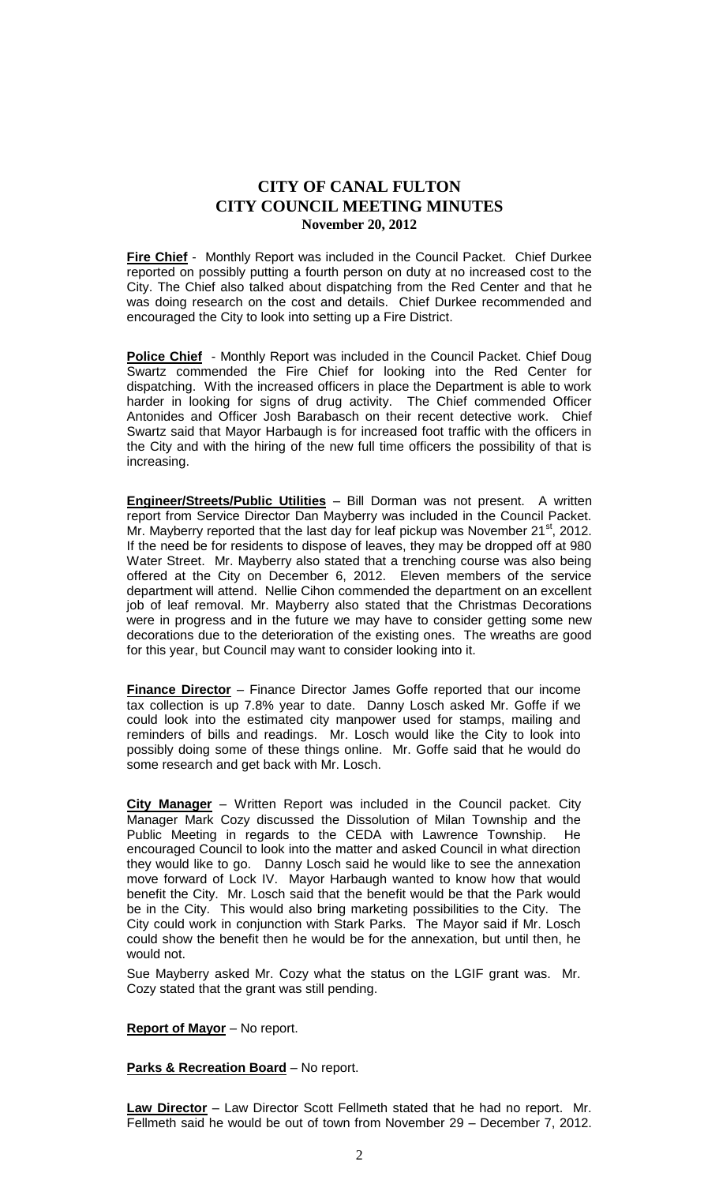**Fire Chief** - Monthly Report was included in the Council Packet. Chief Durkee reported on possibly putting a fourth person on duty at no increased cost to the City. The Chief also talked about dispatching from the Red Center and that he was doing research on the cost and details. Chief Durkee recommended and encouraged the City to look into setting up a Fire District.

**Police Chief** - Monthly Report was included in the Council Packet. Chief Doug Swartz commended the Fire Chief for looking into the Red Center for dispatching. With the increased officers in place the Department is able to work harder in looking for signs of drug activity. The Chief commended Officer Antonides and Officer Josh Barabasch on their recent detective work. Chief Swartz said that Mayor Harbaugh is for increased foot traffic with the officers in the City and with the hiring of the new full time officers the possibility of that is increasing.

**Engineer/Streets/Public Utilities** – Bill Dorman was not present. A written report from Service Director Dan Mayberry was included in the Council Packet. Mr. Mayberry reported that the last day for leaf pickup was November  $21^{st}$ , 2012. If the need be for residents to dispose of leaves, they may be dropped off at 980 Water Street. Mr. Mayberry also stated that a trenching course was also being offered at the City on December 6, 2012. Eleven members of the service department will attend. Nellie Cihon commended the department on an excellent job of leaf removal. Mr. Mayberry also stated that the Christmas Decorations were in progress and in the future we may have to consider getting some new decorations due to the deterioration of the existing ones. The wreaths are good for this year, but Council may want to consider looking into it.

**Finance Director** – Finance Director James Goffe reported that our income tax collection is up 7.8% year to date. Danny Losch asked Mr. Goffe if we could look into the estimated city manpower used for stamps, mailing and reminders of bills and readings. Mr. Losch would like the City to look into possibly doing some of these things online. Mr. Goffe said that he would do some research and get back with Mr. Losch.

**City Manager** – Written Report was included in the Council packet. City Manager Mark Cozy discussed the Dissolution of Milan Township and the Public Meeting in regards to the CEDA with Lawrence Township. He encouraged Council to look into the matter and asked Council in what direction they would like to go. Danny Losch said he would like to see the annexation move forward of Lock IV. Mayor Harbaugh wanted to know how that would benefit the City. Mr. Losch said that the benefit would be that the Park would be in the City. This would also bring marketing possibilities to the City. The City could work in conjunction with Stark Parks. The Mayor said if Mr. Losch could show the benefit then he would be for the annexation, but until then, he would not.

Sue Mayberry asked Mr. Cozy what the status on the LGIF grant was. Mr. Cozy stated that the grant was still pending.

# **Report of Mayor** – No report.

#### **Parks & Recreation Board** – No report.

**Law Director** – Law Director Scott Fellmeth stated that he had no report. Mr. Fellmeth said he would be out of town from November 29 – December 7, 2012.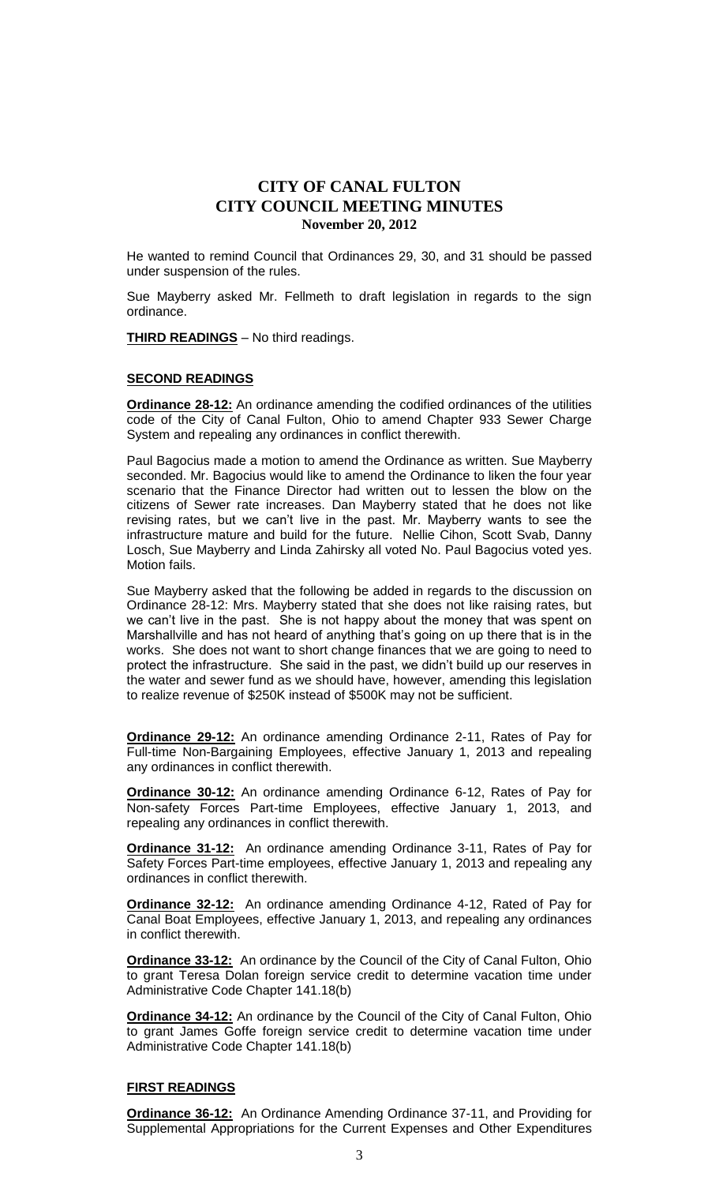He wanted to remind Council that Ordinances 29, 30, and 31 should be passed under suspension of the rules.

Sue Mayberry asked Mr. Fellmeth to draft legislation in regards to the sign ordinance.

**THIRD READINGS** – No third readings.

#### **SECOND READINGS**

**Ordinance 28-12:** An ordinance amending the codified ordinances of the utilities code of the City of Canal Fulton, Ohio to amend Chapter 933 Sewer Charge System and repealing any ordinances in conflict therewith.

Paul Bagocius made a motion to amend the Ordinance as written. Sue Mayberry seconded. Mr. Bagocius would like to amend the Ordinance to liken the four year scenario that the Finance Director had written out to lessen the blow on the citizens of Sewer rate increases. Dan Mayberry stated that he does not like revising rates, but we can't live in the past. Mr. Mayberry wants to see the infrastructure mature and build for the future. Nellie Cihon, Scott Svab, Danny Losch, Sue Mayberry and Linda Zahirsky all voted No. Paul Bagocius voted yes. Motion fails.

Sue Mayberry asked that the following be added in regards to the discussion on Ordinance 28-12: Mrs. Mayberry stated that she does not like raising rates, but we can't live in the past. She is not happy about the money that was spent on Marshallville and has not heard of anything that's going on up there that is in the works. She does not want to short change finances that we are going to need to protect the infrastructure. She said in the past, we didn't build up our reserves in the water and sewer fund as we should have, however, amending this legislation to realize revenue of \$250K instead of \$500K may not be sufficient.

**Ordinance 29-12:** An ordinance amending Ordinance 2-11, Rates of Pay for Full-time Non-Bargaining Employees, effective January 1, 2013 and repealing any ordinances in conflict therewith.

**Ordinance 30-12:** An ordinance amending Ordinance 6-12, Rates of Pay for Non-safety Forces Part-time Employees, effective January 1, 2013, and repealing any ordinances in conflict therewith.

**Ordinance 31-12:** An ordinance amending Ordinance 3-11, Rates of Pay for Safety Forces Part-time employees, effective January 1, 2013 and repealing any ordinances in conflict therewith.

**Ordinance 32-12:** An ordinance amending Ordinance 4-12, Rated of Pay for Canal Boat Employees, effective January 1, 2013, and repealing any ordinances in conflict therewith.

**Ordinance 33-12:** An ordinance by the Council of the City of Canal Fulton, Ohio to grant Teresa Dolan foreign service credit to determine vacation time under Administrative Code Chapter 141.18(b)

**Ordinance 34-12:** An ordinance by the Council of the City of Canal Fulton, Ohio to grant James Goffe foreign service credit to determine vacation time under Administrative Code Chapter 141.18(b)

#### **FIRST READINGS**

**Ordinance 36-12:** An Ordinance Amending Ordinance 37-11, and Providing for Supplemental Appropriations for the Current Expenses and Other Expenditures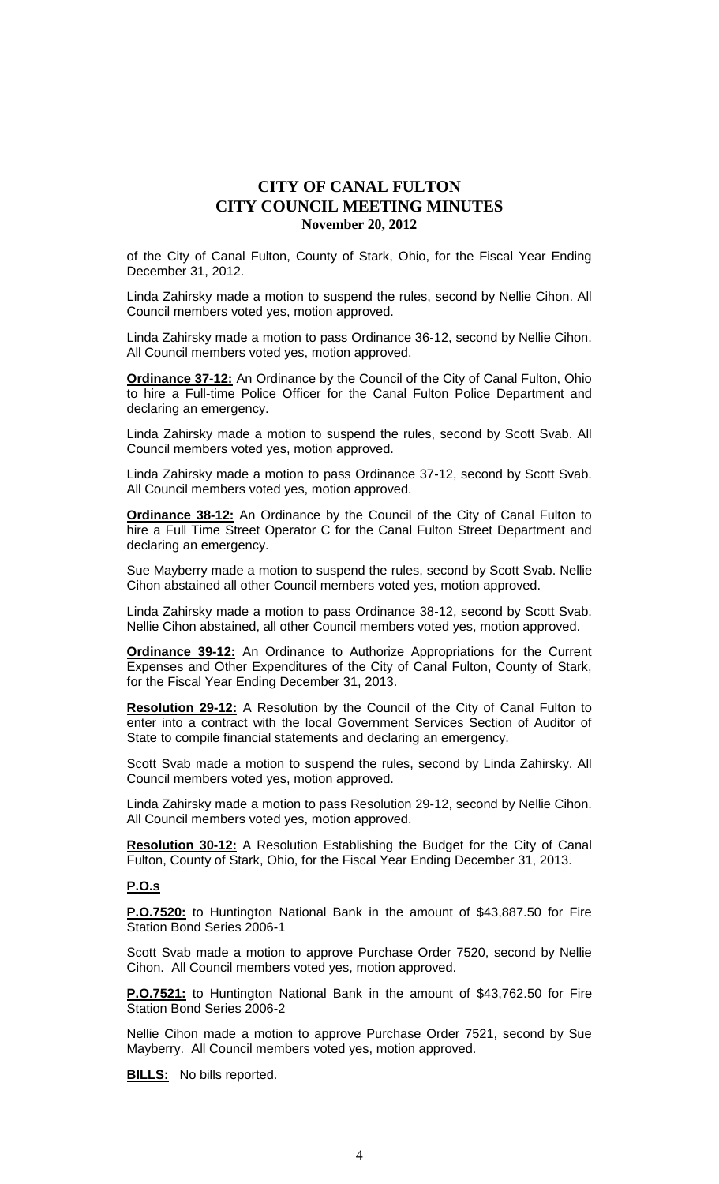of the City of Canal Fulton, County of Stark, Ohio, for the Fiscal Year Ending December 31, 2012.

Linda Zahirsky made a motion to suspend the rules, second by Nellie Cihon. All Council members voted yes, motion approved.

Linda Zahirsky made a motion to pass Ordinance 36-12, second by Nellie Cihon. All Council members voted yes, motion approved.

**Ordinance 37-12:** An Ordinance by the Council of the City of Canal Fulton, Ohio to hire a Full-time Police Officer for the Canal Fulton Police Department and declaring an emergency.

Linda Zahirsky made a motion to suspend the rules, second by Scott Svab. All Council members voted yes, motion approved.

Linda Zahirsky made a motion to pass Ordinance 37-12, second by Scott Svab. All Council members voted yes, motion approved.

**Ordinance 38-12:** An Ordinance by the Council of the City of Canal Fulton to hire a Full Time Street Operator C for the Canal Fulton Street Department and declaring an emergency.

Sue Mayberry made a motion to suspend the rules, second by Scott Svab. Nellie Cihon abstained all other Council members voted yes, motion approved.

Linda Zahirsky made a motion to pass Ordinance 38-12, second by Scott Svab. Nellie Cihon abstained, all other Council members voted yes, motion approved.

**Ordinance 39-12:** An Ordinance to Authorize Appropriations for the Current Expenses and Other Expenditures of the City of Canal Fulton, County of Stark, for the Fiscal Year Ending December 31, 2013.

**Resolution 29-12:** A Resolution by the Council of the City of Canal Fulton to enter into a contract with the local Government Services Section of Auditor of State to compile financial statements and declaring an emergency.

Scott Svab made a motion to suspend the rules, second by Linda Zahirsky. All Council members voted yes, motion approved.

Linda Zahirsky made a motion to pass Resolution 29-12, second by Nellie Cihon. All Council members voted yes, motion approved.

**Resolution 30-12:** A Resolution Establishing the Budget for the City of Canal Fulton, County of Stark, Ohio, for the Fiscal Year Ending December 31, 2013.

### **P.O.s**

**P.O.7520:** to Huntington National Bank in the amount of \$43,887.50 for Fire Station Bond Series 2006-1

Scott Svab made a motion to approve Purchase Order 7520, second by Nellie Cihon. All Council members voted yes, motion approved.

**P.O.7521:** to Huntington National Bank in the amount of \$43,762.50 for Fire Station Bond Series 2006-2

Nellie Cihon made a motion to approve Purchase Order 7521, second by Sue Mayberry. All Council members voted yes, motion approved.

**BILLS:** No bills reported.